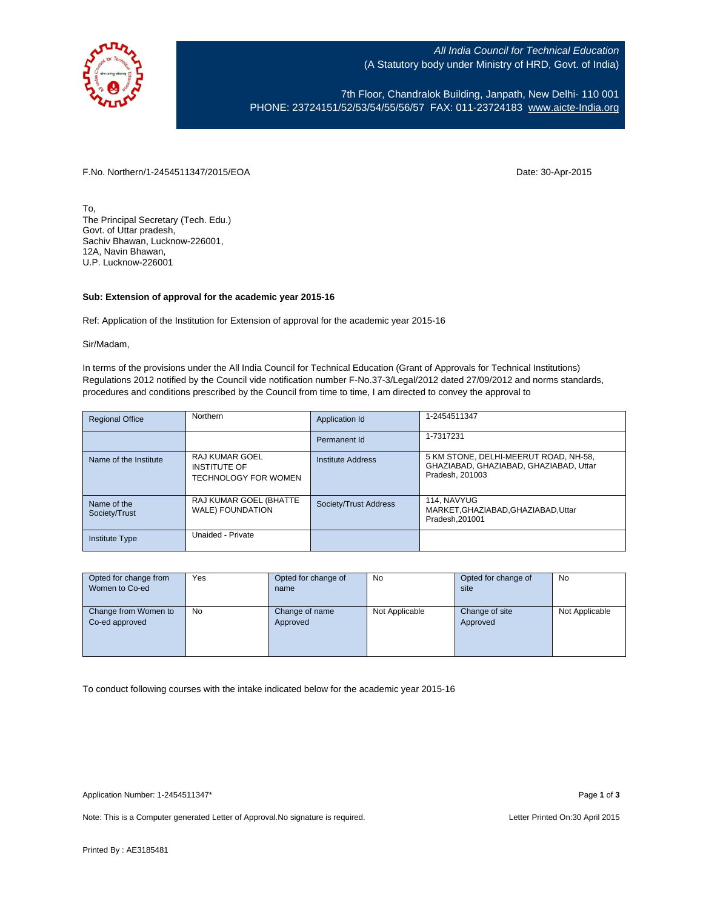

All India Council for Technical Education (A Statutory body under Ministry of HRD, Govt. of India)

7th Floor, Chandralok Building, Janpath, New Delhi- 110 001 PHONE: 23724151/52/53/54/55/56/57 FAX: 011-23724183 [www.aicte-India.org](http://www.aicte-india.org/)

F.No. Northern/1-2454511347/2015/EOA Date: 30-Apr-2015

To, The Principal Secretary (Tech. Edu.) Govt. of Uttar pradesh, Sachiv Bhawan, Lucknow-226001, 12A, Navin Bhawan, U.P. Lucknow-226001

## **Sub: Extension of approval for the academic year 2015-16**

Ref: Application of the Institution for Extension of approval for the academic year 2015-16

Sir/Madam,

In terms of the provisions under the All India Council for Technical Education (Grant of Approvals for Technical Institutions) Regulations 2012 notified by the Council vide notification number F-No.37-3/Legal/2012 dated 27/09/2012 and norms standards, procedures and conditions prescribed by the Council from time to time, I am directed to convey the approval to

| <b>Regional Office</b>       | Northern                                                             | Application Id        | 1-2454511347                                                                                       |
|------------------------------|----------------------------------------------------------------------|-----------------------|----------------------------------------------------------------------------------------------------|
|                              |                                                                      | Permanent Id          | 1-7317231                                                                                          |
| Name of the Institute        | <b>RAJ KUMAR GOEL</b><br><b>INSTITUTE OF</b><br>TECHNOLOGY FOR WOMEN | Institute Address     | 5 KM STONE, DELHI-MEERUT ROAD, NH-58,<br>GHAZIABAD, GHAZIABAD, GHAZIABAD, Uttar<br>Pradesh, 201003 |
| Name of the<br>Society/Trust | RAJ KUMAR GOEL (BHATTE<br>WALE) FOUNDATION                           | Society/Trust Address | 114. NAVYUG<br>MARKET, GHAZIABAD, GHAZIABAD, Uttar<br>Pradesh.201001                               |
| <b>Institute Type</b>        | Unaided - Private                                                    |                       |                                                                                                    |

| Opted for change from | Yes       | Opted for change of | No             | Opted for change of | <b>No</b>      |
|-----------------------|-----------|---------------------|----------------|---------------------|----------------|
| Women to Co-ed        |           | name                |                | site                |                |
|                       |           |                     |                |                     |                |
| Change from Women to  | <b>No</b> | Change of name      | Not Applicable | Change of site      | Not Applicable |
| Co-ed approved        |           | Approved            |                | Approved            |                |
|                       |           |                     |                |                     |                |
|                       |           |                     |                |                     |                |
|                       |           |                     |                |                     |                |

To conduct following courses with the intake indicated below for the academic year 2015-16

Note: This is a Computer generated Letter of Approval. No signature is required. Letter Printed On:30 April 2015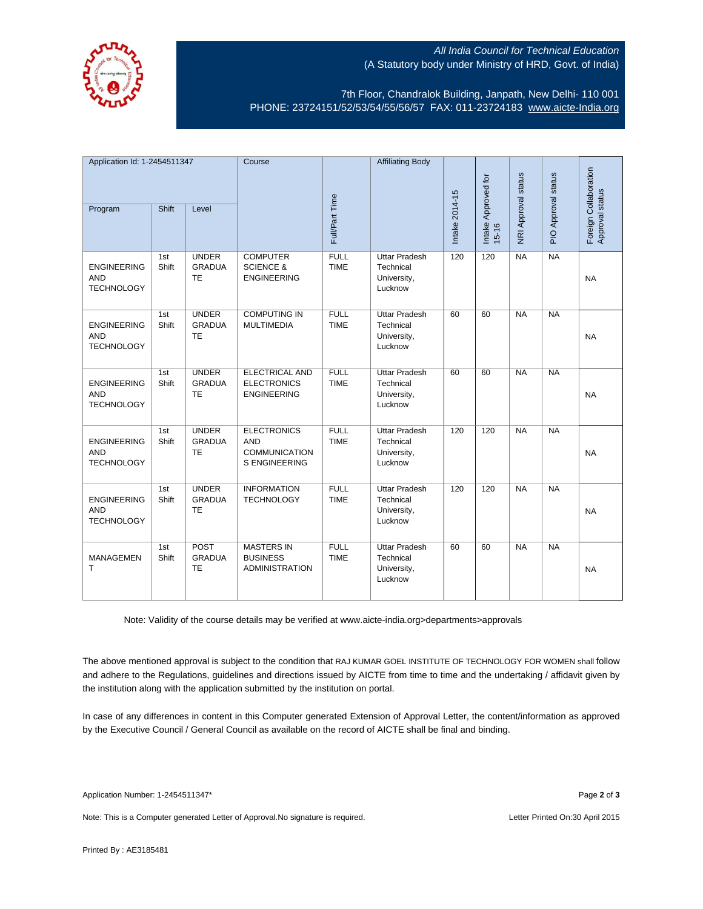

## All India Council for Technical Education (A Statutory body under Ministry of HRD, Govt. of India)

7th Floor, Chandralok Building, Janpath, New Delhi- 110 001 PHONE: 23724151/52/53/54/55/56/57 FAX: 011-23724183 [www.aicte-India.org](http://www.aicte-india.org/)

| Application Id: 1-2454511347                          |              | Course                                     |                                                                                  | <b>Affiliating Body</b>    |                                                             |                |                                  |                     |                     |                                          |
|-------------------------------------------------------|--------------|--------------------------------------------|----------------------------------------------------------------------------------|----------------------------|-------------------------------------------------------------|----------------|----------------------------------|---------------------|---------------------|------------------------------------------|
| Program                                               | Shift        | Level                                      |                                                                                  | Full/Part Time             |                                                             | Intake 2014-15 | Intake Approved for<br>$15 - 16$ | NRI Approval status | PIO Approval status | Foreign Collaboration<br>Approval status |
| <b>ENGINEERING</b><br><b>AND</b><br><b>TECHNOLOGY</b> | 1st<br>Shift | <b>UNDER</b><br><b>GRADUA</b><br>TE        | <b>COMPUTER</b><br><b>SCIENCE &amp;</b><br><b>ENGINEERING</b>                    | <b>FULL</b><br><b>TIME</b> | <b>Uttar Pradesh</b><br>Technical<br>University,<br>Lucknow | 120            | 120                              | NA                  | NA                  | <b>NA</b>                                |
| <b>ENGINEERING</b><br><b>AND</b><br><b>TECHNOLOGY</b> | 1st<br>Shift | <b>UNDER</b><br><b>GRADUA</b><br><b>TE</b> | <b>COMPUTING IN</b><br><b>MULTIMEDIA</b>                                         | <b>FULL</b><br><b>TIME</b> | <b>Uttar Pradesh</b><br>Technical<br>University,<br>Lucknow | 60             | 60                               | <b>NA</b>           | NA                  | <b>NA</b>                                |
| <b>ENGINEERING</b><br><b>AND</b><br><b>TECHNOLOGY</b> | 1st<br>Shift | <b>UNDER</b><br><b>GRADUA</b><br><b>TE</b> | <b>ELECTRICAL AND</b><br><b>ELECTRONICS</b><br><b>ENGINEERING</b>                | <b>FULL</b><br><b>TIME</b> | <b>Uttar Pradesh</b><br>Technical<br>University,<br>Lucknow | 60             | 60                               | NA                  | NA                  | <b>NA</b>                                |
| <b>ENGINEERING</b><br><b>AND</b><br><b>TECHNOLOGY</b> | 1st<br>Shift | <b>UNDER</b><br><b>GRADUA</b><br>TE        | <b>ELECTRONICS</b><br><b>AND</b><br><b>COMMUNICATION</b><br><b>S ENGINEERING</b> | <b>FULL</b><br><b>TIME</b> | <b>Uttar Pradesh</b><br>Technical<br>University,<br>Lucknow | 120            | 120                              | NA                  | NA                  | <b>NA</b>                                |
| <b>ENGINEERING</b><br><b>AND</b><br><b>TECHNOLOGY</b> | 1st<br>Shift | <b>UNDER</b><br><b>GRADUA</b><br><b>TE</b> | <b>INFORMATION</b><br><b>TECHNOLOGY</b>                                          | <b>FULL</b><br><b>TIME</b> | <b>Uttar Pradesh</b><br>Technical<br>University,<br>Lucknow | 120            | 120                              | NA                  | NA                  | <b>NA</b>                                |
| <b>MANAGEMEN</b><br>T                                 | 1st<br>Shift | POST<br><b>GRADUA</b><br><b>TE</b>         | <b>MASTERS IN</b><br><b>BUSINESS</b><br><b>ADMINISTRATION</b>                    | <b>FULL</b><br><b>TIME</b> | <b>Uttar Pradesh</b><br>Technical<br>University,<br>Lucknow | 60             | 60                               | <b>NA</b>           | NA                  | <b>NA</b>                                |

Note: Validity of the course details may be verified at www.aicte-india.org>departments>approvals

The above mentioned approval is subject to the condition that RAJ KUMAR GOEL INSTITUTE OF TECHNOLOGY FOR WOMEN shall follow and adhere to the Regulations, guidelines and directions issued by AICTE from time to time and the undertaking / affidavit given by the institution along with the application submitted by the institution on portal.

In case of any differences in content in this Computer generated Extension of Approval Letter, the content/information as approved by the Executive Council / General Council as available on the record of AICTE shall be final and binding.

Note: This is a Computer generated Letter of Approval. No signature is required. Letter Printed On:30 April 2015